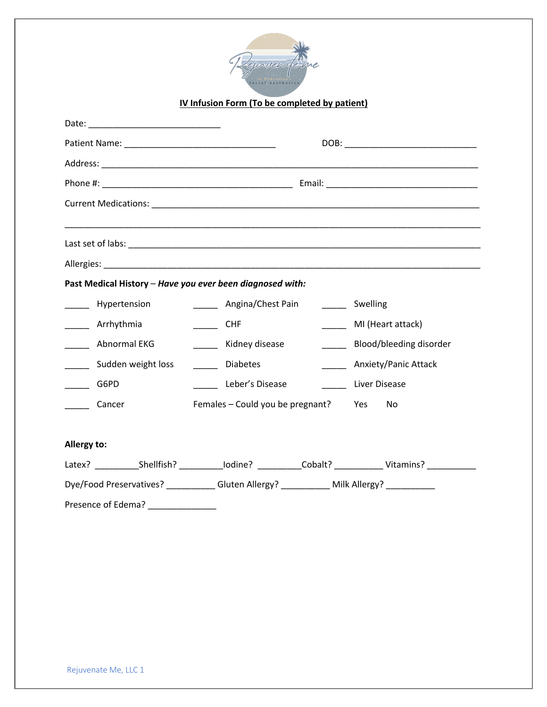

## **IV Infusion Form (To be completed by patient)**

|                            |                    | Past Medical History - Have you ever been diagnosed with:                                   |                  |                                                                                                                |
|----------------------------|--------------------|---------------------------------------------------------------------------------------------|------------------|----------------------------------------------------------------------------------------------------------------|
|                            | Hypertension       | Angina/Chest Pain                                                                           | $\sim$ 100 $\mu$ | Swelling                                                                                                       |
|                            | Arrhythmia         | $\overline{\phantom{a}}$ CHF                                                                | $\sim 100$       | MI (Heart attack)                                                                                              |
| $\mathcal{L}^{\text{max}}$ | Abnormal EKG       | Kidney disease                                                                              |                  | Blood/bleeding disorder                                                                                        |
|                            | Sudden weight loss | Diabetes                                                                                    |                  | Anxiety/Panic Attack                                                                                           |
| $\frac{1}{2}$              | G6PD               | Leber's Disease                                                                             |                  | Liver Disease                                                                                                  |
|                            | Cancer             | Females - Could you be pregnant? Yes                                                        |                  | No                                                                                                             |
|                            |                    |                                                                                             |                  |                                                                                                                |
| Allergy to:                |                    |                                                                                             |                  |                                                                                                                |
|                            |                    |                                                                                             |                  | Latex? ______________Shellfish? _____________lodine? _____________Cobalt? ________________Vitamins? __________ |
|                            |                    | Dye/Food Preservatives? ____________Gluten Allergy? ____________ Milk Allergy? ____________ |                  |                                                                                                                |
|                            | Presence of Edema? |                                                                                             |                  |                                                                                                                |